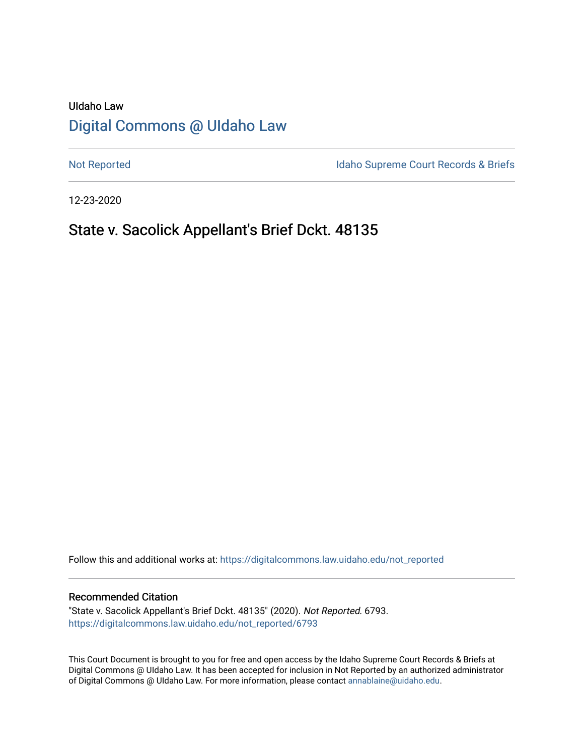# UIdaho Law [Digital Commons @ UIdaho Law](https://digitalcommons.law.uidaho.edu/)

[Not Reported](https://digitalcommons.law.uidaho.edu/not_reported) **Idaho Supreme Court Records & Briefs** 

12-23-2020

# State v. Sacolick Appellant's Brief Dckt. 48135

Follow this and additional works at: [https://digitalcommons.law.uidaho.edu/not\\_reported](https://digitalcommons.law.uidaho.edu/not_reported?utm_source=digitalcommons.law.uidaho.edu%2Fnot_reported%2F6793&utm_medium=PDF&utm_campaign=PDFCoverPages) 

#### Recommended Citation

"State v. Sacolick Appellant's Brief Dckt. 48135" (2020). Not Reported. 6793. [https://digitalcommons.law.uidaho.edu/not\\_reported/6793](https://digitalcommons.law.uidaho.edu/not_reported/6793?utm_source=digitalcommons.law.uidaho.edu%2Fnot_reported%2F6793&utm_medium=PDF&utm_campaign=PDFCoverPages)

This Court Document is brought to you for free and open access by the Idaho Supreme Court Records & Briefs at Digital Commons @ UIdaho Law. It has been accepted for inclusion in Not Reported by an authorized administrator of Digital Commons @ UIdaho Law. For more information, please contact [annablaine@uidaho.edu](mailto:annablaine@uidaho.edu).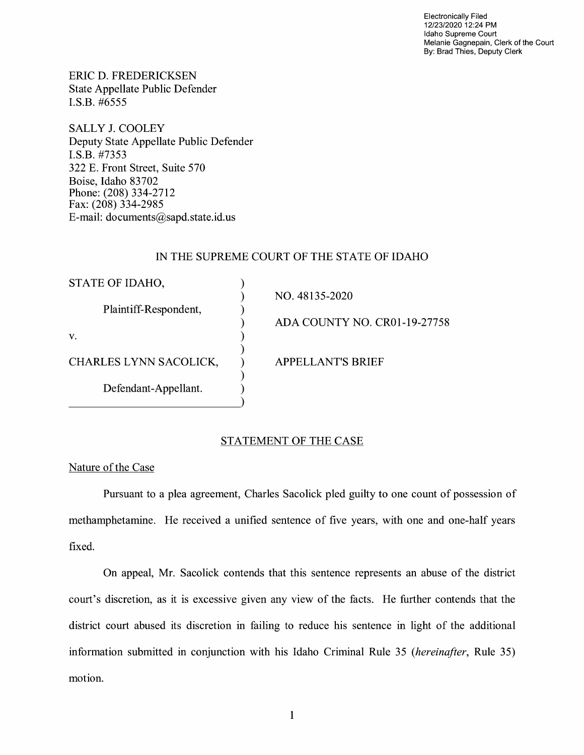Electronically Filed 12/23/2020 12:24 PM Idaho Supreme Court Melanie Gagnepain, Clerk of the Court By: Brad Thies, Deputy Clerk

ERIC D. FREDERICKSEN State Appellate Public Defender I.S.B. #6555

SALLY J. COOLEY Deputy State Appellate Public Defender I.S.B. #7353 322 E. Front Street, Suite 570 Boise, Idaho 83702 Phone: (208) 334-2712 Fax: (208) 334-2985 E-mail: documents@sapd.state.id. us

### IN THE SUPREME COURT OF THE STATE OF IDAHO

| STATE OF IDAHO,        |                              |
|------------------------|------------------------------|
| Plaintiff-Respondent,  | NO. 48135-2020               |
|                        | ADA COUNTY NO. CR01-19-27758 |
| v.                     |                              |
| CHARLES LYNN SACOLICK, | <b>APPELLANT'S BRIEF</b>     |
| Defendant-Appellant.   |                              |

### STATEMENT OF THE CASE

#### Nature of the Case

Pursuant to a plea agreement, Charles Sacolick pied guilty to one count of possession of methamphetamine. He received a unified sentence of five years, with one and one-half years fixed.

On appeal, Mr. Sacolick contends that this sentence represents an abuse of the district court's discretion, as it is excessive given any view of the facts. He further contends that the district court abused its discretion in failing to reduce his sentence in light of the additional information submitted in conjunction with his Idaho Criminal Rule 35 *(hereinafter,* Rule 35) motion.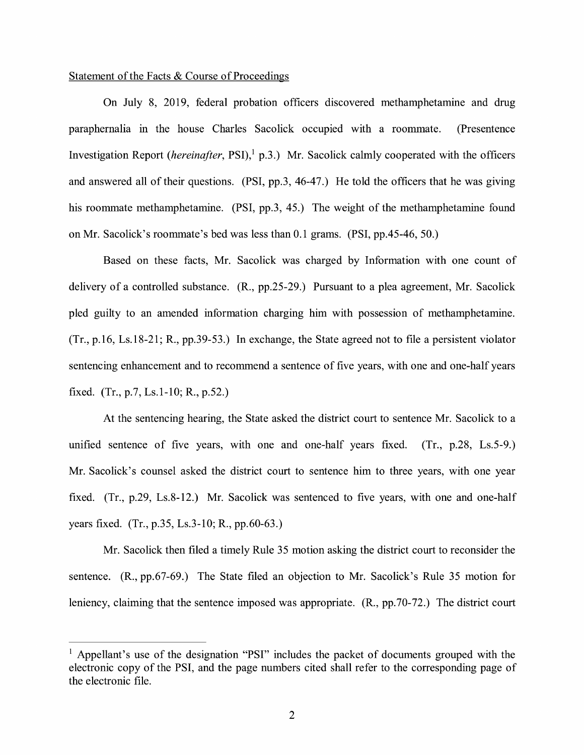#### Statement of the Facts & Course of Proceedings

On July 8, 2019, federal probation officers discovered methamphetamine and drug paraphernalia in the house Charles Sacolick occupied with a roommate. (Presentence Investigation Report *(hereinafter, PSI)*,<sup>1</sup> p.3.) Mr. Sacolick calmly cooperated with the officers and answered all of their questions. (PSI, pp.3, 46-47.) He told the officers that he was giving his roommate methamphetamine. (PSI, pp.3, 45.) The weight of the methamphetamine found on Mr. Sacolick's roommate's bed was less than 0.1 grams. (PSI, pp.45-46, 50.)

Based on these facts, Mr. Sacolick was charged by Information with one count of delivery of a controlled substance. (R., pp.25-29.) Pursuant to a plea agreement, Mr. Sacolick pled guilty to an amended information charging him with possession of methamphetamine. (Tr., p.16, Ls.18-21; R., pp.39-53.) In exchange, the State agreed not to file a persistent violator sentencing enhancement and to recommend a sentence of five years, with one and one-half years fixed. (Tr., p.7, Ls.I-IO; R., p.52.)

At the sentencing hearing, the State asked the district court to sentence Mr. Sacolick to a unified sentence of five years, with one and one-half years fixed. (Tr., p.28, Ls.5-9.) Mr. Sacolick's counsel asked the district court to sentence him to three years, with one year fixed. (Tr., p.29, Ls.8-12.) Mr. Sacolick was sentenced to five years, with one and one-half years fixed. (Tr., p.35, Ls.3-10; R., pp.60-63.)

Mr. Sacolick then filed a timely Rule 35 motion asking the district court to reconsider the sentence. **(R.,** pp.67-69.) The State filed an objection to Mr. Sacolick's Rule 35 motion for leniency, claiming that the sentence imposed was appropriate. (R., pp.70-72.) The district court

<sup>&</sup>lt;sup>1</sup> Appellant's use of the designation "PSI" includes the packet of documents grouped with the electronic copy of the PSI, and the page numbers cited shall refer to the corresponding page of the electronic file.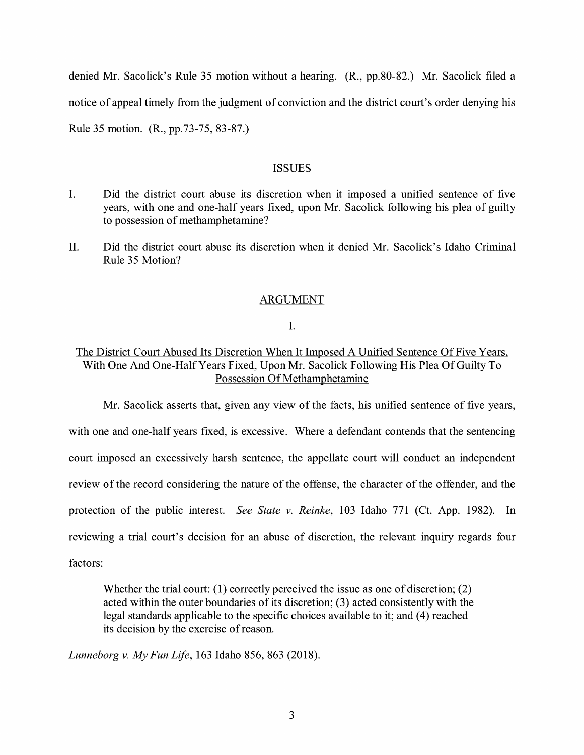denied Mr. Sacolick's Rule 35 motion without a hearing. (R., pp.80-82.) Mr. Sacolick filed a notice of appeal timely from the judgment of conviction and the district court's order denying his Rule 35 motion. (R., pp.73-75, 83-87.)

#### ISSUES

- I. Did the district court abuse its discretion when it imposed a unified sentence of five years, with one and one-half years fixed, upon Mr. Sacolick following his plea of guilty to possession of methamphetamine?
- II. Did the district court abuse its discretion when it denied Mr. Sacolick's Idaho Criminal Rule 35 Motion?

### ARGUMENT

I.

## The District Court Abused Its Discretion When It Imposed A Unified Sentence Of Five Years, With One And One-Half Years Fixed, Upon Mr. Sacolick Following His Plea Of Guilty To Possession Of Methamphetamine

Mr. Sacolick asserts that, given any view of the facts, his unified sentence of five years, with one and one-half years fixed, is excessive. Where a defendant contends that the sentencing court imposed an excessively harsh sentence, the appellate court will conduct an independent review of the record considering the nature of the offense, the character of the offender, and the protection of the public interest. *See State v. Reinke,* 103 Idaho 771 (Ct. App. 1982). In reviewing a trial court's decision for an abuse of discretion, the relevant inquiry regards four factors:

Whether the trial court: (1) correctly perceived the issue as one of discretion; (2) acted within the outer boundaries of its discretion; (3) acted consistently with the legal standards applicable to the specific choices available to it; and (4) reached its decision by the exercise of reason.

*Lunneborg v. My Fun Life,* 163 Idaho 856, 863 (2018).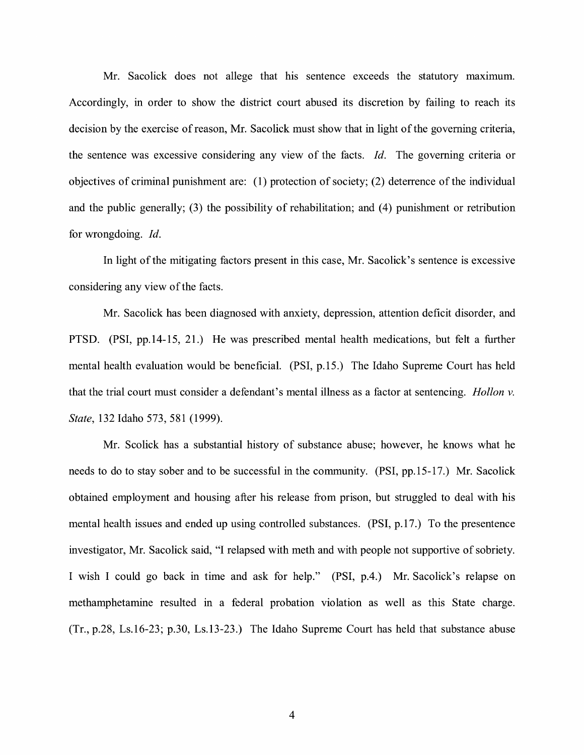Mr. Sacolick does not allege that his sentence exceeds the statutory maximum. Accordingly, in order to show the district court abused its discretion by failing to reach its decision by the exercise of reason, Mr. Sacolick must show that in light of the governing criteria, the sentence was excessive considering any view of the facts. *Id.* The governing criteria or objectives of criminal punishment are: (1) protection of society; (2) deterrence of the individual and the public generally; (3) the possibility of rehabilitation; and (4) punishment or retribution for wrongdoing. Id.

In light of the mitigating factors present in this case, Mr. Sacolick's sentence is excessive considering any view of the facts.

Mr. Sacolick has been diagnosed with anxiety, depression, attention deficit disorder, and PTSD. (PSI, pp.14-15, 21.) He was prescribed mental health medications, but felt a further mental health evaluation would be beneficial. (PSI, p.15.) The Idaho Supreme Court has held that the trial court must consider a defendant's mental illness as a factor at sentencing. *Hollon v. State,* 132 Idaho 573, 581 (1999).

Mr. Scolick has a substantial history of substance abuse; however, he knows what he needs to do to stay sober and to be successful in the community. (PSI, pp.15-17.) Mr. Sacolick obtained employment and housing after his release from prison, but struggled to deal with his mental health issues and ended up using controlled substances. (PSI, p.17.) To the presentence investigator, Mr. Sacolick said, "I relapsed with meth and with people not supportive of sobriety. I wish I could go back in time and ask for help." (PSI, p.4.) Mr. Sacolick's relapse on methamphetamine resulted in a federal probation violation as well as this State charge. (Tr., p.28, Ls.16-23; p.30, Ls.13-23.) The Idaho Supreme Court has held that substance abuse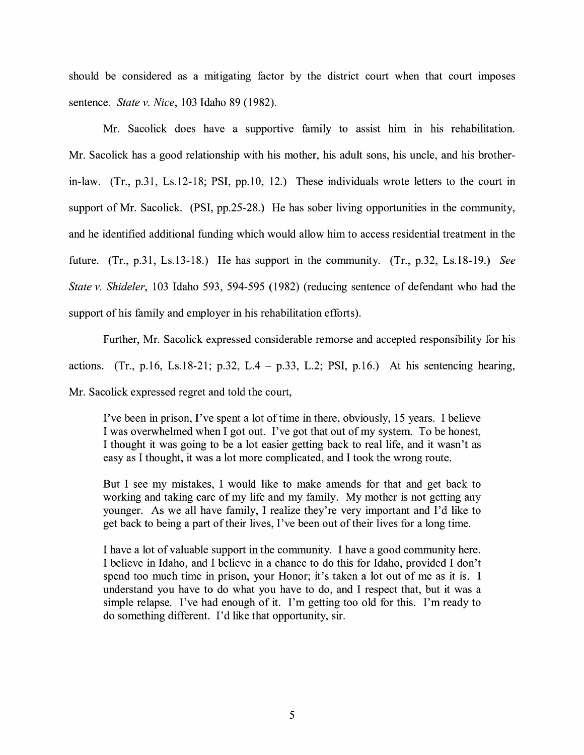should be considered as a mitigating factor by the district court when that court imposes sentence. *State v. Nice,* 103 Idaho 89 (1982).

Mr. Sacolick does have a supportive family to assist him in his rehabilitation. Mr. Sacolick has a good relationship with his mother, his adult sons, his uncle, and his brotherin-law. (Tr., p.31, Ls.12-18; PSI, pp.IO, 12.) These individuals wrote letters to the court in support of Mr. Sacolick. (PSI, pp.25-28.) He has sober living opportunities in the community, and he identified additional funding which would allow him to access residential treatment in the future. (Tr., p.31, Ls.13-18.) He has support in the community. (Tr., p.32, Ls.18-19.) *See State v. Shideler,* 103 Idaho 593, 594-595 (1982) (reducing sentence of defendant who had the support of his family and employer in his rehabilitation efforts).

Further, Mr. Sacolick expressed considerable remorse and accepted responsibility for his actions. (Tr., p.16, Ls.18-21; p.32, L.4 – p.33, L.2; PSI, p.16.) At his sentencing hearing, Mr. Sacolick expressed regret and told the court,

I've been in prison, I've spent a lot of time in there, obviously, 15 years. I believe I was overwhelmed when I got out. I've got that out of my system. To be honest, I thought it was going to be a lot easier getting back to real life, and it wasn't as easy as I thought, it was a lot more complicated, and I took the wrong route.

But I see my mistakes, I would like to make amends for that and get back to working and taking care of my life and my family. My mother is not getting any younger. As we all have family, I realize they're very important and I'd like to get back to being a part of their lives, I've been out of their lives for a long time.

I have a lot of valuable support in the community. I have a good community here. I believe in Idaho, and I believe in a chance to do this for Idaho, provided I don't spend too much time in prison, your Honor; it's taken a lot out of me as it is. I understand you have to do what you have to do, and I respect that, but it was a simple relapse. I've had enough of it. I'm getting too old for this. I'm ready to do something different. I'd like that opportunity, sir.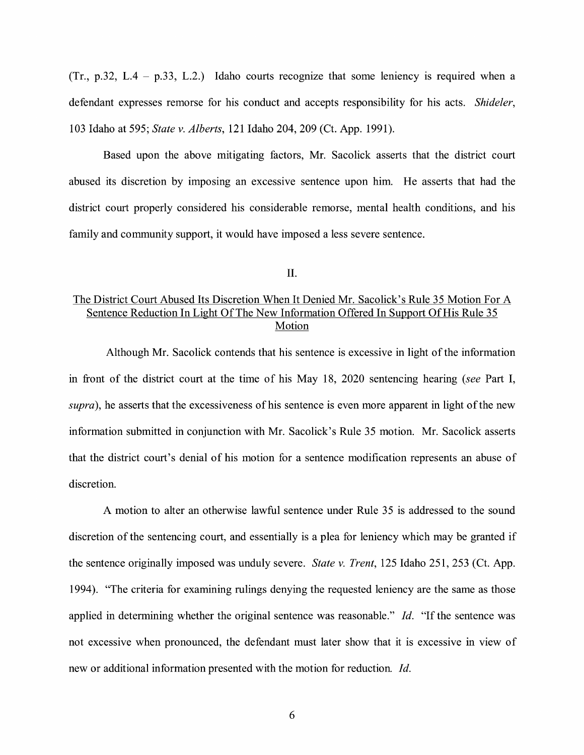$(Tr, p.32, L.4 - p.33, L.2.)$  Idaho courts recognize that some leniency is required when a defendant expresses remorse for his conduct and accepts responsibility for his acts. *Shideler,*  103 Idaho at 595; *State v. Alberts,* 121 Idaho 204, 209 (Ct. App. 1991).

Based upon the above mitigating factors, Mr. Sacolick asserts that the district court abused its discretion by imposing an excessive sentence upon him. He asserts that had the district court properly considered his considerable remorse, mental health conditions, and his family and community support, it would have imposed a less severe sentence.

II.

## The District Court Abused Its Discretion When It Denied Mr. Sacolick's Rule 35 Motion For A Sentence Reduction In Light Of The New Information Offered In Support Of His Rule 35 Motion

Although Mr. Sacolick contends that his sentence is excessive in light of the information in front of the district court at the time of his May 18, 2020 sentencing hearing *(see* Part I, *supra),* he asserts that the excessiveness of his sentence is even more apparent in light of the new information submitted in conjunction with Mr. Sacolick's Rule 35 motion. Mr. Sacolick asserts that the district court's denial of his motion for a sentence modification represents an abuse of discretion.

A motion to alter an otherwise lawful sentence under Rule 35 is addressed to the sound discretion of the sentencing court, and essentially is a plea for leniency which may be granted if the sentence originally imposed was unduly severe. *State v. Trent,* 125 Idaho 251, 253 (Ct. App. 1994). "The criteria for examining rulings denying the requested leniency are the same as those applied in determining whether the original sentence was reasonable." Id. "If the sentence was not excessive when pronounced, the defendant must later show that it is excessive in view of new or additional information presented with the motion for reduction. *Id.*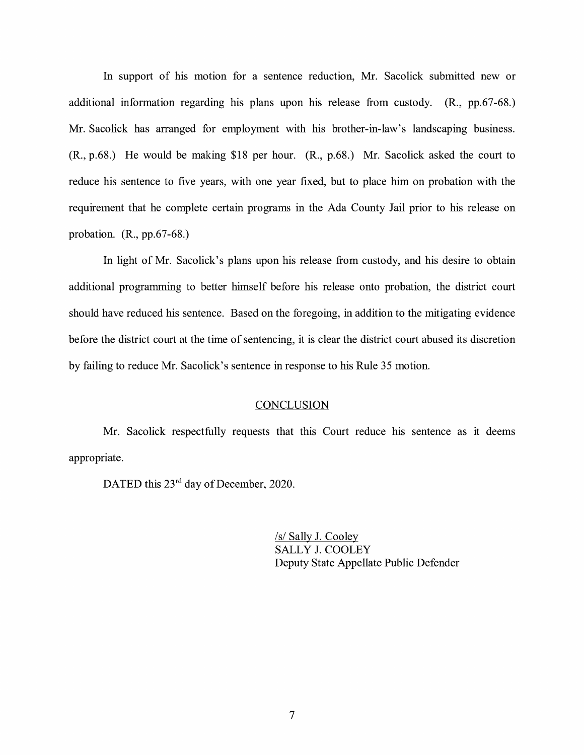In support of his motion for a sentence reduction, Mr. Sacolick submitted new or additional information regarding his plans upon his release from custody. (R., pp.67-68.) Mr. Sacolick has arranged for employment with his brother-in-law's landscaping business. (R., p.68.) He would be making \$18 per hour. (R., p.68.) Mr. Sacolick asked the court to reduce his sentence to five years, with one year fixed, but to place him on probation with the requirement that he complete certain programs in the Ada County Jail prior to his release on probation. (R., pp.67-68.)

In light of Mr. Sacolick's plans upon his release from custody, and his desire to obtain additional programming to better himself before his release onto probation, the district court should have reduced his sentence. Based on the foregoing, in addition to the mitigating evidence before the district court at the time of sentencing, it is clear the district court abused its discretion by failing to reduce Mr. Sacolick's sentence in response to his Rule 35 motion.

#### **CONCLUSION**

Mr. Sacolick respectfully requests that this Court reduce his sentence as it deems appropriate.

DATED this 23<sup>rd</sup> day of December, 2020.

/s/ Sally J. Cooley SALLY J. COOLEY Deputy State Appellate Public Defender